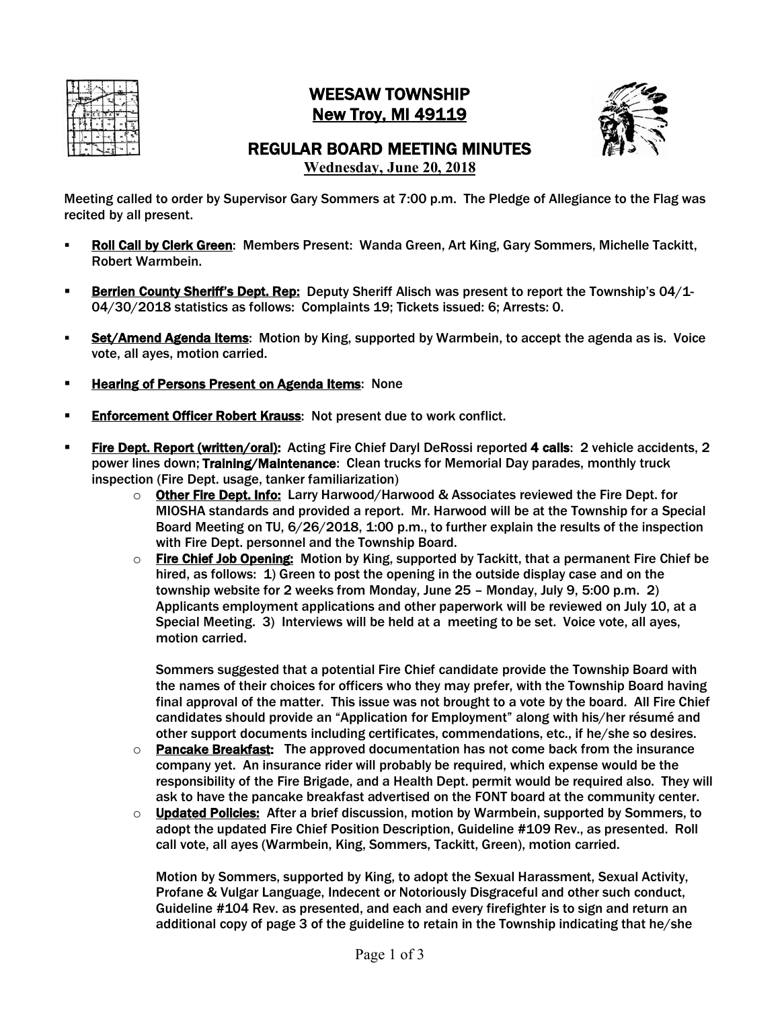

## WEESAW TOWNSHIP New Troy, MI 49119



## REGULAR BOARD MEETING MINUTES **Wednesday, June 20, 2018**

Meeting called to order by Supervisor Gary Sommers at 7:00 p.m. The Pledge of Allegiance to the Flag was recited by all present.

- § Roll Call by Clerk Green: Members Present: Wanda Green, Art King, Gary Sommers, Michelle Tackitt, Robert Warmbein.
- **Berrien County Sheriff's Dept. Rep:** Deputy Sheriff Alisch was present to report the Township's 04/1-04/30/2018 statistics as follows: Complaints 19; Tickets issued: 6; Arrests: 0.
- Set/Amend Agenda Items: Motion by King, supported by Warmbein, to accept the agenda as is. Voice vote, all ayes, motion carried.
- **Example 2 Hearing of Persons Present on Agenda Items: None**
- **Enforcement Officer Robert Krauss: Not present due to work conflict.**
- § Fire Dept. Report (written/oral): Acting Fire Chief Daryl DeRossi reported 4 calls: 2 vehicle accidents, 2 power lines down; Training/Maintenance: Clean trucks for Memorial Day parades, monthly truck inspection (Fire Dept. usage, tanker familiarization)
	- $\circ$  Other Fire Dept. Info: Larry Harwood/Harwood & Associates reviewed the Fire Dept. for MIOSHA standards and provided a report. Mr. Harwood will be at the Township for a Special Board Meeting on TU, 6/26/2018, 1:00 p.m., to further explain the results of the inspection with Fire Dept. personnel and the Township Board.
	- o Fire Chief Job Opening: Motion by King, supported by Tackitt, that a permanent Fire Chief be hired, as follows: 1) Green to post the opening in the outside display case and on the township website for 2 weeks from Monday, June 25 – Monday, July 9, 5:00 p.m. 2) Applicants employment applications and other paperwork will be reviewed on July 10, at a Special Meeting. 3) Interviews will be held at a meeting to be set. Voice vote, all ayes, motion carried.

Sommers suggested that a potential Fire Chief candidate provide the Township Board with the names of their choices for officers who they may prefer, with the Township Board having final approval of the matter. This issue was not brought to a vote by the board. All Fire Chief candidates should provide an "Application for Employment" along with his/her résumé and other support documents including certificates, commendations, etc., if he/she so desires.

- $\circ$  Pancake Breakfast: The approved documentation has not come back from the insurance company yet. An insurance rider will probably be required, which expense would be the responsibility of the Fire Brigade, and a Health Dept. permit would be required also. They will ask to have the pancake breakfast advertised on the FONT board at the community center.
- o Updated Policies: After a brief discussion, motion by Warmbein, supported by Sommers, to adopt the updated Fire Chief Position Description, Guideline #109 Rev., as presented. Roll call vote, all ayes (Warmbein, King, Sommers, Tackitt, Green), motion carried.

Motion by Sommers, supported by King, to adopt the Sexual Harassment, Sexual Activity, Profane & Vulgar Language, Indecent or Notoriously Disgraceful and other such conduct, Guideline #104 Rev. as presented, and each and every firefighter is to sign and return an additional copy of page 3 of the guideline to retain in the Township indicating that he/she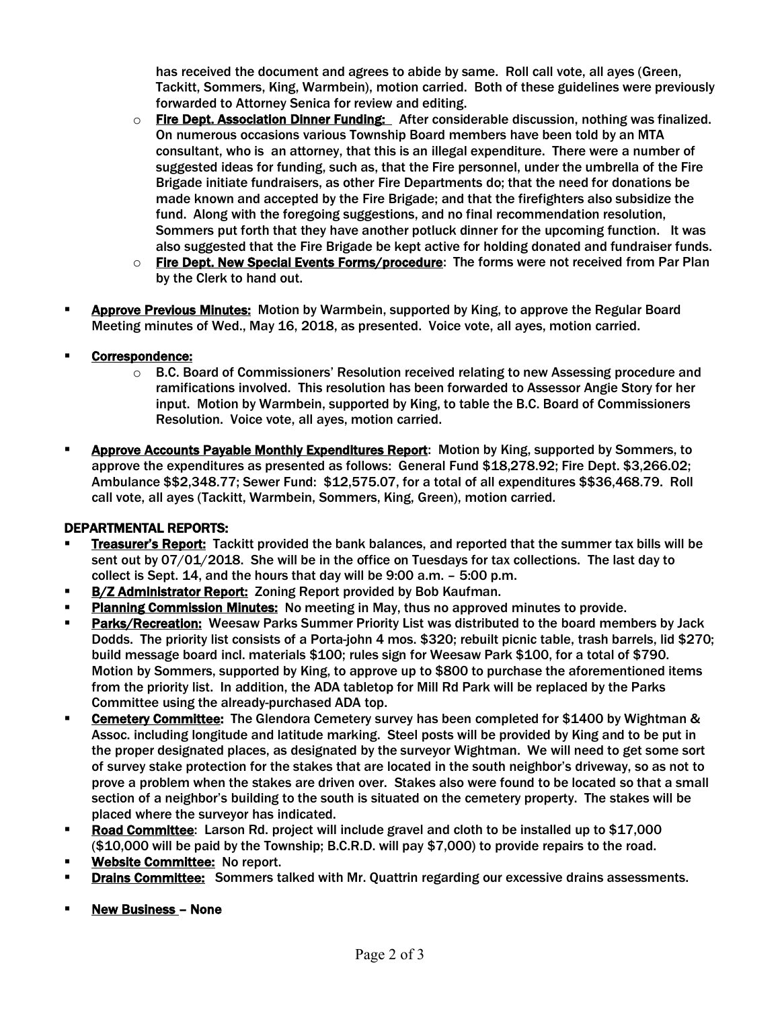has received the document and agrees to abide by same. Roll call vote, all ayes (Green, Tackitt, Sommers, King, Warmbein), motion carried. Both of these guidelines were previously forwarded to Attorney Senica for review and editing.

- o Fire Dept. Association Dinner Funding: After considerable discussion, nothing was finalized. On numerous occasions various Township Board members have been told by an MTA consultant, who is an attorney, that this is an illegal expenditure. There were a number of suggested ideas for funding, such as, that the Fire personnel, under the umbrella of the Fire Brigade initiate fundraisers, as other Fire Departments do; that the need for donations be made known and accepted by the Fire Brigade; and that the firefighters also subsidize the fund. Along with the foregoing suggestions, and no final recommendation resolution, Sommers put forth that they have another potluck dinner for the upcoming function. It was also suggested that the Fire Brigade be kept active for holding donated and fundraiser funds.
- $\circ$  Fire Dept. New Special Events Forms/procedure: The forms were not received from Par Plan by the Clerk to hand out.
- § Approve Previous Minutes: Motion by Warmbein, supported by King, to approve the Regular Board Meeting minutes of Wed., May 16, 2018, as presented. Voice vote, all ayes, motion carried.
- § Correspondence:
	- $\circ$  B.C. Board of Commissioners' Resolution received relating to new Assessing procedure and ramifications involved. This resolution has been forwarded to Assessor Angie Story for her input. Motion by Warmbein, supported by King, to table the B.C. Board of Commissioners Resolution. Voice vote, all ayes, motion carried.
- Approve Accounts Payable Monthly Expenditures Report: Motion by King, supported by Sommers, to approve the expenditures as presented as follows: General Fund \$18,278.92; Fire Dept. \$3,266.02; Ambulance \$\$2,348.77; Sewer Fund: \$12,575.07, for a total of all expenditures \$\$36,468.79. Roll call vote, all ayes (Tackitt, Warmbein, Sommers, King, Green), motion carried.

## DEPARTMENTAL REPORTS:

- **Treasurer's Report:** Tackitt provided the bank balances, and reported that the summer tax bills will be sent out by 07/01/2018. She will be in the office on Tuesdays for tax collections. The last day to collect is Sept. 14, and the hours that day will be 9:00 a.m. – 5:00 p.m.
- **B/Z Administrator Report: Zoning Report provided by Bob Kaufman.**
- Planning Commission Minutes: No meeting in May, thus no approved minutes to provide.
- Parks/Recreation: Weesaw Parks Summer Priority List was distributed to the board members by Jack Dodds. The priority list consists of a Porta-john 4 mos. \$320; rebuilt picnic table, trash barrels, lid \$270; build message board incl. materials \$100; rules sign for Weesaw Park \$100, for a total of \$790. Motion by Sommers, supported by King, to approve up to \$800 to purchase the aforementioned items from the priority list. In addition, the ADA tabletop for Mill Rd Park will be replaced by the Parks Committee using the already-purchased ADA top.
- **Cemetery Committee:** The Glendora Cemetery survey has been completed for \$1400 by Wightman & Assoc. including longitude and latitude marking. Steel posts will be provided by King and to be put in the proper designated places, as designated by the surveyor Wightman. We will need to get some sort of survey stake protection for the stakes that are located in the south neighbor's driveway, so as not to prove a problem when the stakes are driven over. Stakes also were found to be located so that a small section of a neighbor's building to the south is situated on the cemetery property. The stakes will be placed where the surveyor has indicated.
- **Road Committee:** Larson Rd. project will include gravel and cloth to be installed up to \$17,000 (\$10,000 will be paid by the Township; B.C.R.D. will pay \$7,000) to provide repairs to the road.
- Website Committee: No report.
- **Drains Committee:** Sommers talked with Mr. Quattrin regarding our excessive drains assessments.
- **Example 3 None** None